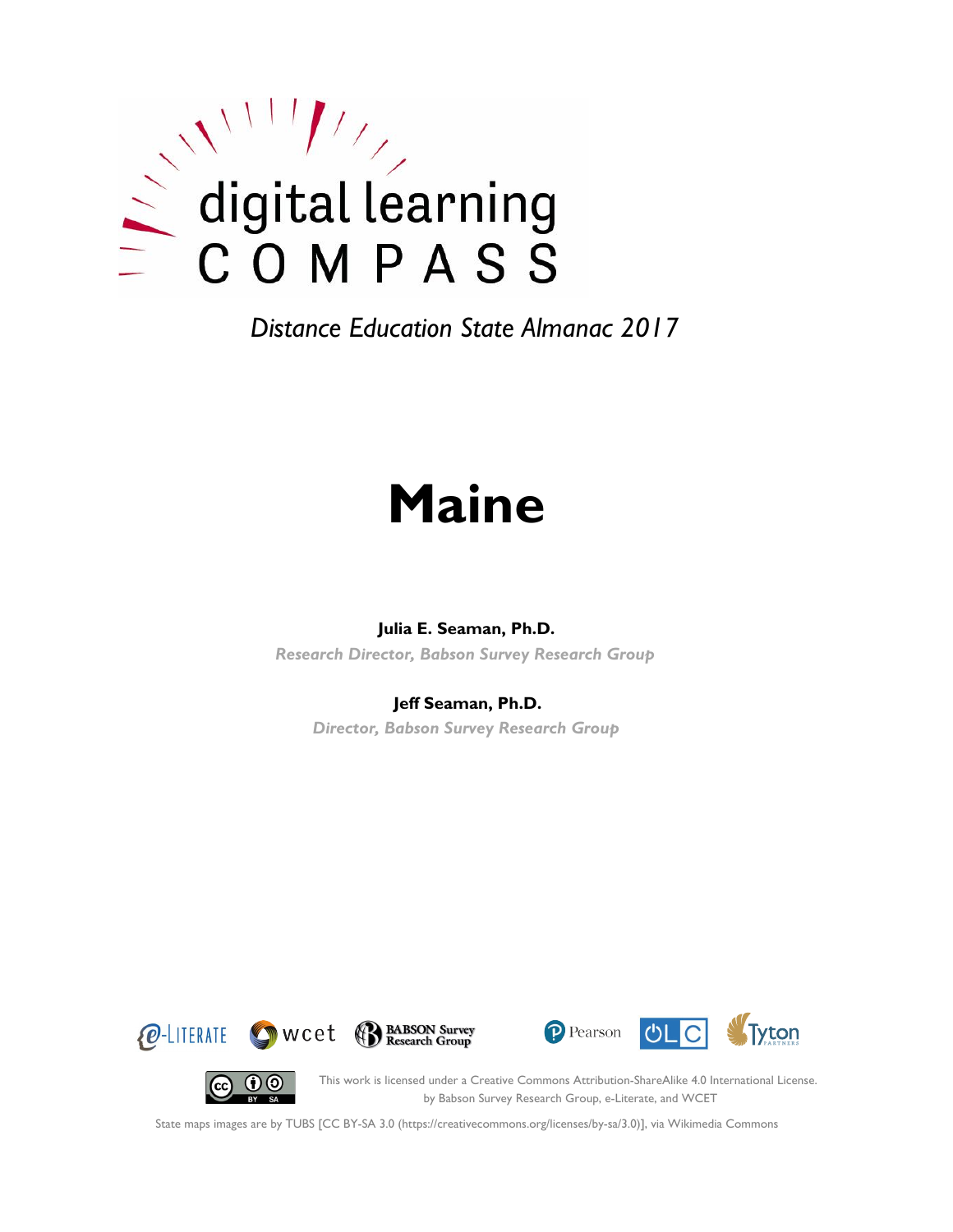

# **Maine**

#### **Julia E. Seaman, Ph.D.**

*Research Director, Babson Survey Research Group*

#### **Jeff Seaman, Ph.D.**

*Director, Babson Survey Research Group*







(cc)

This work is licensed under a Creative Commons Attribution-ShareAlike 4.0 International License. by Babson Survey Research Group, e-Literate, and WCET

State maps images are by TUBS [CC BY-SA 3.0 (https://creativecommons.org/licenses/by-sa/3.0)], via Wikimedia Commons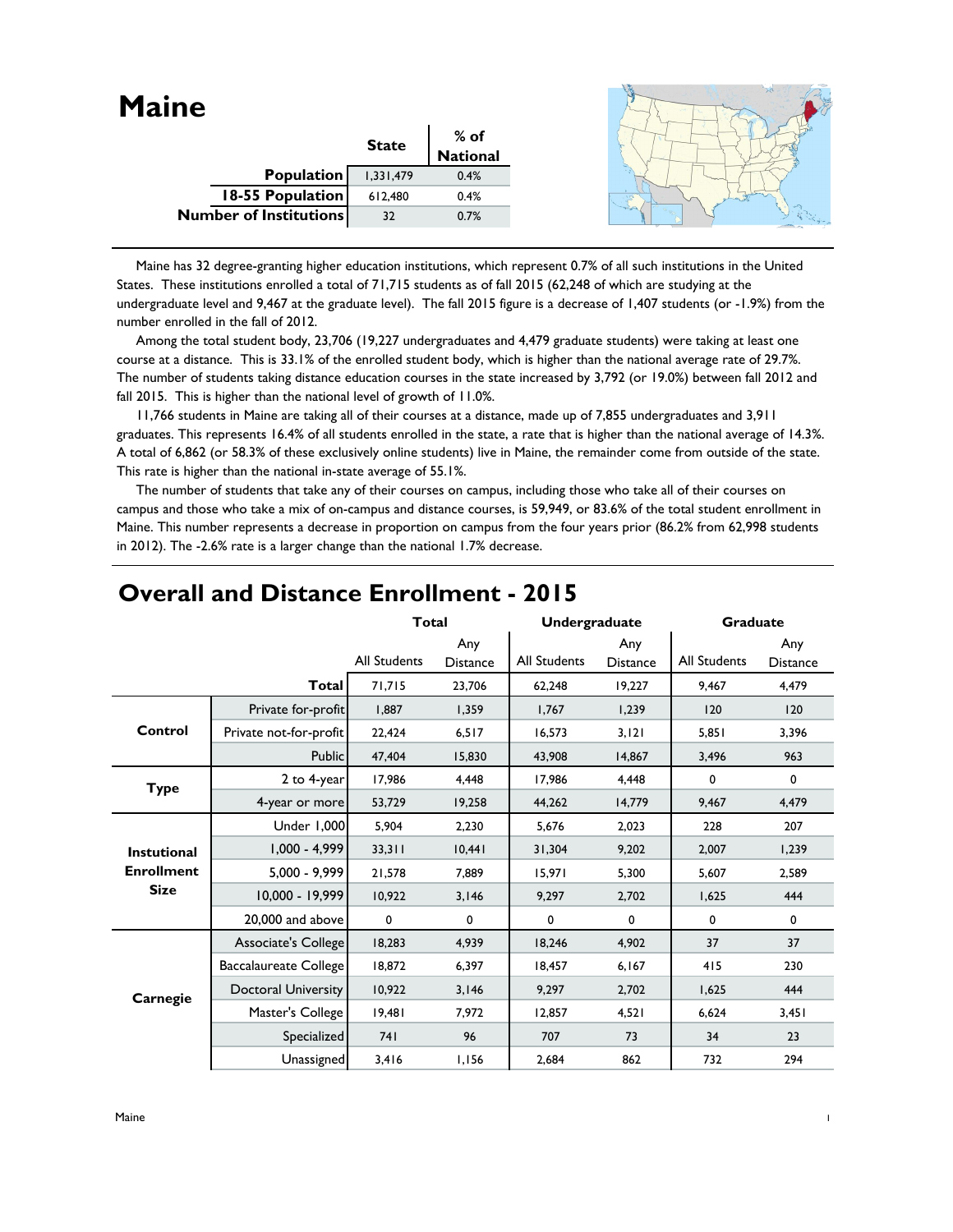| <b>Maine</b>                  |              |                  |  |
|-------------------------------|--------------|------------------|--|
|                               | <b>State</b> | % of<br>National |  |
|                               |              |                  |  |
| Population                    | 1,331,479    | 0.4%             |  |
| 18-55 Population              | 612,480      | 0.4%             |  |
| <b>Number of Institutions</b> | 32           | 0.7%             |  |
|                               |              |                  |  |

 Maine has 32 degree-granting higher education institutions, which represent 0.7% of all such institutions in the United States. These institutions enrolled a total of 71,715 students as of fall 2015 (62,248 of which are studying at the undergraduate level and 9,467 at the graduate level). The fall 2015 figure is a decrease of 1,407 students (or -1.9%) from the number enrolled in the fall of 2012.

 Among the total student body, 23,706 (19,227 undergraduates and 4,479 graduate students) were taking at least one course at a distance. This is 33.1% of the enrolled student body, which is higher than the national average rate of 29.7%. The number of students taking distance education courses in the state increased by 3,792 (or 19.0%) between fall 2012 and fall 2015. This is higher than the national level of growth of 11.0%.

 11,766 students in Maine are taking all of their courses at a distance, made up of 7,855 undergraduates and 3,911 graduates. This represents 16.4% of all students enrolled in the state, a rate that is higher than the national average of 14.3%. A total of 6,862 (or 58.3% of these exclusively online students) live in Maine, the remainder come from outside of the state. This rate is higher than the national in-state average of 55.1%.

 The number of students that take any of their courses on campus, including those who take all of their courses on campus and those who take a mix of on-campus and distance courses, is 59,949, or 83.6% of the total student enrollment in Maine. This number represents a decrease in proportion on campus from the four years prior (86.2% from 62,998 students in 2012). The -2.6% rate is a larger change than the national 1.7% decrease.

|                    |                              | <b>Total</b> |                        | <b>Undergraduate</b> |                        | Graduate     |                        |
|--------------------|------------------------------|--------------|------------------------|----------------------|------------------------|--------------|------------------------|
|                    |                              | All Students | Any<br><b>Distance</b> | <b>All Students</b>  | Any<br><b>Distance</b> | All Students | Any<br><b>Distance</b> |
|                    | Total                        | 71.715       | 23.706                 | 62,248               | 19,227                 | 9.467        | 4.479                  |
|                    | Private for-profit           | 1,887        | 1,359                  | 1,767                | 1,239                  | 120          | 120                    |
| Control            | Private not-for-profit       | 22,424       | 6,517                  | 16,573               | 3,121                  | 5,851        | 3,396                  |
|                    | Public                       | 47,404       | 15,830                 | 43,908               | 14,867                 | 3,496        | 963                    |
| <b>Type</b>        | 2 to 4-year                  | 17,986       | 4,448                  | 17,986               | 4,448                  | 0            | 0                      |
|                    | 4-year or more               | 53,729       | 19,258                 | 44,262               | 14,779                 | 9,467        | 4,479                  |
|                    | <b>Under 1,000</b>           | 5,904        | 2,230                  | 5,676                | 2,023                  | 228          | 207                    |
| <b>Instutional</b> | $1,000 - 4,999$              | 33,311       | 10,441                 | 31,304               | 9,202                  | 2,007        | 1,239                  |
| <b>Enrollment</b>  | $5,000 - 9,999$              | 21,578       | 7,889                  | 15,971               | 5,300                  | 5,607        | 2,589                  |
| <b>Size</b>        | 10,000 - 19,999              | 10,922       | 3,146                  | 9,297                | 2,702                  | 1,625        | 444                    |
|                    | 20,000 and above             | 0            | $\mathbf 0$            | 0                    | $\mathbf 0$            | $\mathbf 0$  | $\mathbf 0$            |
|                    | Associate's College          | 18,283       | 4,939                  | 18,246               | 4,902                  | 37           | 37                     |
|                    | <b>Baccalaureate College</b> | 18,872       | 6,397                  | 18,457               | 6,167                  | 415          | 230                    |
| Carnegie           | <b>Doctoral University</b>   | 10,922       | 3,146                  | 9.297                | 2,702                  | 1.625        | 444                    |
|                    | Master's College             | 19,481       | 7,972                  | 12,857               | 4,521                  | 6,624        | 3,451                  |
|                    | Specialized                  | 741          | 96                     | 707                  | 73                     | 34           | 23                     |
|                    | Unassigned                   | 3,416        | 1,156                  | 2,684                | 862                    | 732          | 294                    |

### **Overall and Distance Enrollment - 2015**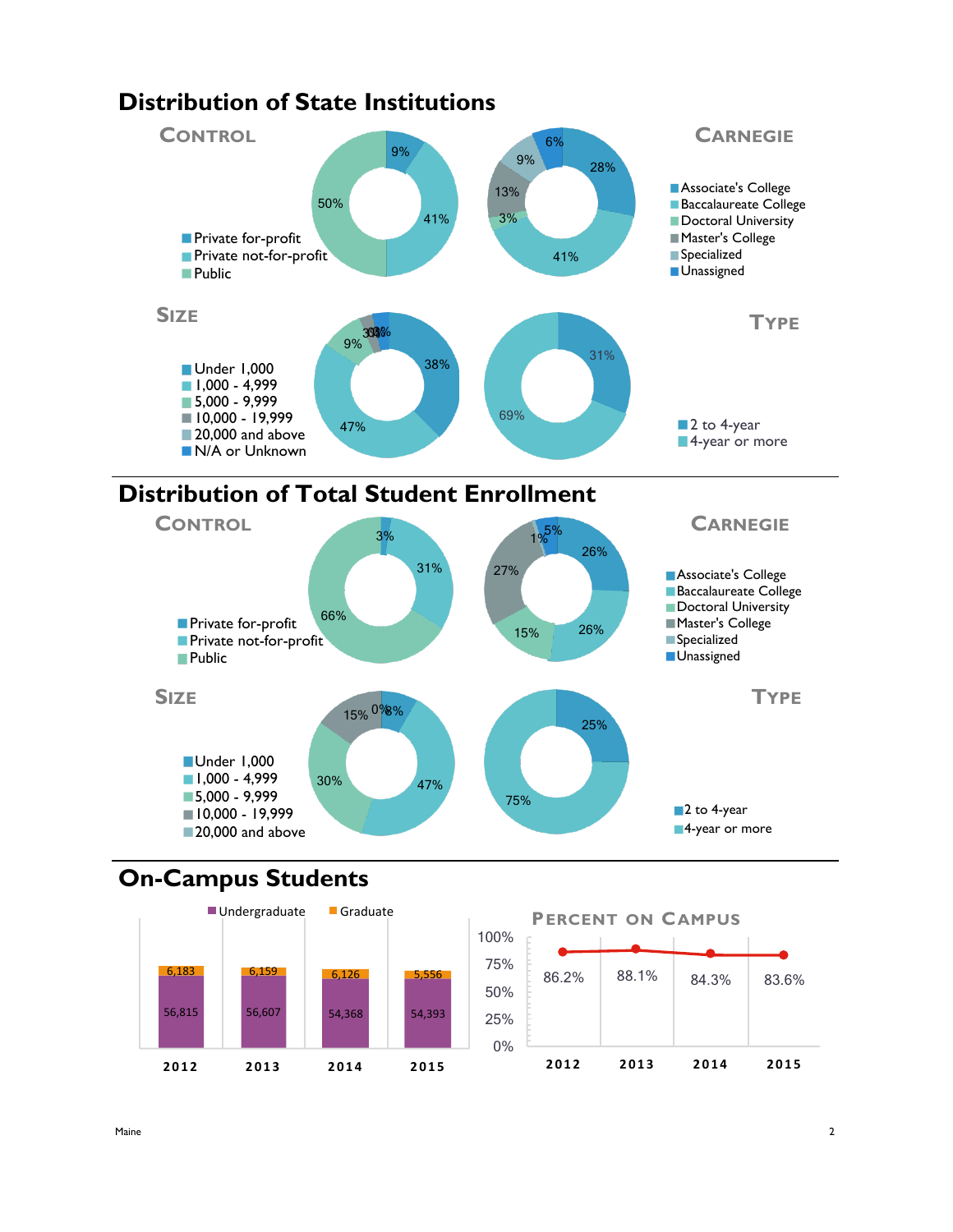

### **Distribution of State Institutions**





# **On-Campus Students**



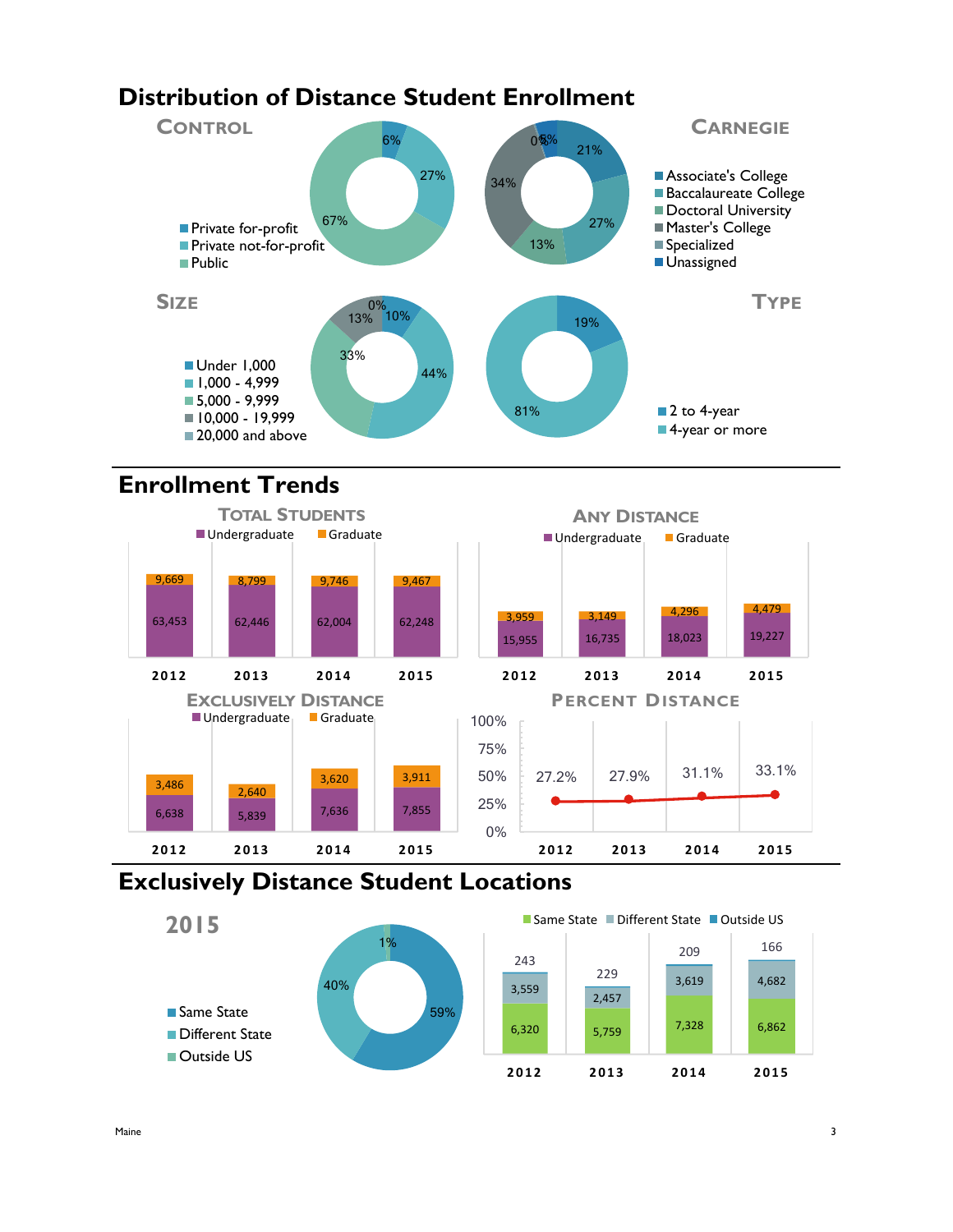## **Distribution of Distance Student Enrollment**



# **Enrollment Trends**



## **Exclusively Distance Student Locations**